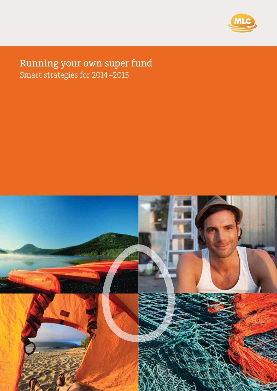

## Running your own super fund Smart strategies for 2014–2015

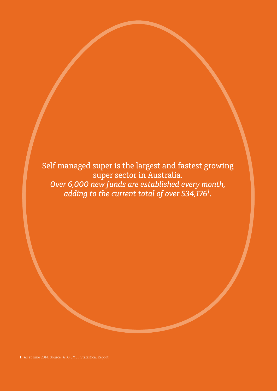Self managed super is the largest and fastest growing super sector in Australia. *Over 6,000 new funds are established every month, adding to the current total of over 534,1761 .*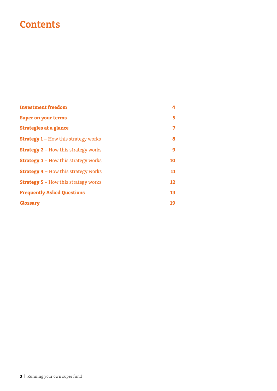# **Contents**

| <b>Investment freedom</b>                   | 4                 |
|---------------------------------------------|-------------------|
| <b>Super on your terms</b>                  | 5.                |
| <b>Strategies at a glance</b>               | 7                 |
| <b>Strategy 1 – How this strategy works</b> | 8                 |
| <b>Strategy 2 – How this strategy works</b> | 9                 |
| <b>Strategy 3 - How this strategy works</b> | 10                |
| <b>Strategy 4 – How this strategy works</b> | 11                |
| <b>Strategy 5 – How this strategy works</b> | $12 \overline{ }$ |
| <b>Frequently Asked Questions</b>           | 13                |
| <b>Glossary</b>                             | 19                |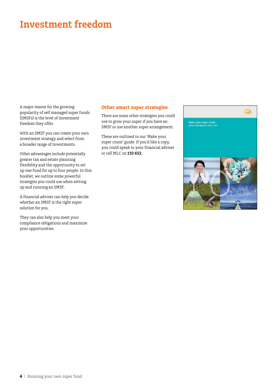# **Investment freedom**

A major reason for the growing popularity of self managed super funds (SMSFs) is the level of investment freedom they offer.

With an SMSF you can create your own investment strategy and select from a broader range of investments.

Other advantages include potentially greater tax and estate planning flexibility and the opportunity to set up one fund for up to four people. In this booklet, we outline some powerful strategies you could use when setting up and running an SMSF.

A financial adviser can help you decide whether an SMSF is the right super solution for you.

They can also help you meet your compliance obligations and maximise your opportunities.

## **Other smart super strategies**

There are some other strategies you could use to grow your super if you have an SMSF or use another super arrangement.

These are outlined in our 'Make your super count' guide. If you'd like a copy, you could speak to your financial adviser or call MLC on **132 652**.

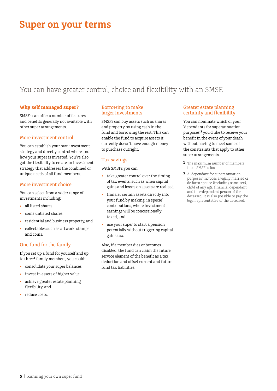# **Super on your terms**

## You can have greater control, choice and flexibility with an SMSF.

## **Why self managed super?**

SMSFs can offer a number of features and benefits generally not available with other super arrangements.

### More investment control

You can establish your own investment strategy and directly control where and how your super is invested. You've also got the flexibility to create an investment strategy that addresses the combined or unique needs of all fund members.

### More investment choice

You can select from a wider range of investments including:

- all listed shares
- some unlisted shares
- • residential and business property, and
- collectables such as artwork, stamps and coins.

## One fund for the family

If you set up a fund for yourself and up to three**<sup>1</sup>** family members, you could:

- • consolidate your super balances
- invest in assets of higher value
- • achieve greater estate planning flexibility, and
- reduce costs.

## Borrowing to make larger investments

SMSFs can buy assets such as shares and property by using cash in the fund and borrowing the rest. This can enable the fund to acquire assets it currently doesn't have enough money to purchase outright.

## Tax savings

With SMSFs you can:

- take greater control over the timing of tax events, such as when capital gains and losses on assets are realised
- transfer certain assets directly into your fund by making 'in specie' contributions, where investment earnings will be concessionally taxed, and
- use your super to start a pension potentially without triggering capital gains tax.

Also, if a member dies or becomes disabled, the fund can claim the future service element of the benefit as a tax deduction and offset current and future fund tax liabilities.

## Greater estate planning certainty and flexibility

You can nominate which of your 'dependants for superannuation purposes'**<sup>2</sup>** you'd like to receive your benefit in the event of your death without having to meet some of the constraints that apply to other super arrangements.

- **1** The maximum number of members in an SMSF is four.
- **2** A 'dependant for superannuation purposes' includes a legally married or de facto spouse (including same sex), child of any age, financial dependant, and interdependent person of the deceased. It is also possible to pay the legal representative of the deceased.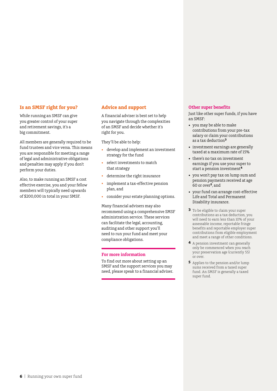### **Is an SMSF right for you?**

While running an SMSF can give you greater control of your super and retirement savings, it's a big commitment.

All members are generally required to be fund trustees and vice versa. This means you are responsible for meeting a range of legal and administrative obligations and penalties may apply if you don't perform your duties.

Also, to make running an SMSF a cost effective exercise, you and your fellow members will typically need upwards of \$200,000 in total in your SMSF.

### **Advice and support**

A financial adviser is best set to help you navigate through the complexities of an SMSF and decide whether it's right for you.

They'll be able to help:

- • develop and implement an investment strategy for the fund
- select investments to match that strategy
- determine the right insurance
- implement a tax-effective pension plan, and
- consider your estate planning options.

Many financial advisers may also recommend using a comprehensive SMSF administration service. These services can facilitate the legal, accounting, auditing and other support you'll need to run your fund and meet your compliance obligations.

#### **For more information**

To find out more about setting up an SMSF and the support services you may need, please speak to a financial adviser.

## **Other super benefits**

Just like other super funds, if you have an SMSF:

- • you may be able to make contributions from your pre-tax salary or claim your contributions as a tax deduction**<sup>3</sup>**
- investment earnings are generally taxed at a maximum rate of 15%
- there's no tax on investment earnings if you use your super to start a pension investment**<sup>4</sup>**
- • you won't pay tax on lump sum and pension payments received at age 60 or over**5**, and
- • your fund can arrange cost-effective Life and Total and Permanent Disability insurance.
- **3** To be eligible to claim your super contributions as a tax deduction, you will need to earn less than 10% of your assessable income, reportable fringe benefits and reportable employer super contributions from eligible employment and meet a range of other conditions.
- **4** A pension investment can generally only be commenced when you reach your preservation age (currently 55) or over.
- **5** Applies to the pension and/or lump sums received from a taxed super fund. An SMSF is generally a taxed super fund.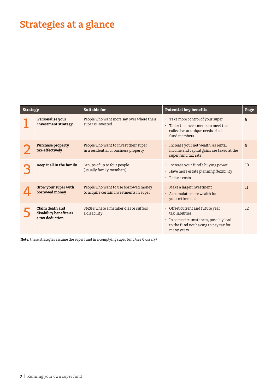# **Strategies at a glance**

| <b>Strategy</b> |                                                              | <b>Suitable for</b>                                                              | <b>Potential key benefits</b>                                                                                                                        | Page |
|-----------------|--------------------------------------------------------------|----------------------------------------------------------------------------------|------------------------------------------------------------------------------------------------------------------------------------------------------|------|
|                 | Personalise your<br>investment strategy                      | People who want more say over where their<br>super is invested                   | • Take more control of your super<br>• Tailor the investments to meet the<br>collective or unique needs of all<br>fund members                       | 8    |
|                 | <b>Purchase property</b><br>tax-effectively                  | People who want to invest their super<br>in a residential or business property   | • Increase your net wealth, as rental<br>income and capital gains are taxed at the<br>super fund tax rate                                            | 9    |
|                 | Keep it all in the family                                    | Groups of up to four people<br>(usually family members)                          | • Increase your fund's buying power<br>• Have more estate planning flexibility<br>• Reduce costs                                                     | 10   |
|                 | Grow your super with<br>borrowed money                       | People who want to use borrowed money<br>to acquire certain investments in super | • Make a larger investment<br>• Accumulate more wealth for<br>your retirement                                                                        | 11   |
|                 | Claim death and<br>disability benefits as<br>a tax deduction | SMSFs where a member dies or suffers<br>a disability                             | • Offset current and future year<br>tax liabilities<br>• In some circumstances, possibly lead<br>to the fund not having to pay tax for<br>many years | 12   |

**Note:** these strategies assume the super fund in a complying super fund (see Glossary)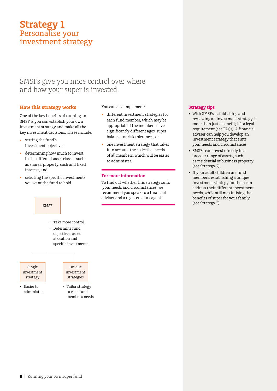## **Strategy 1** Personalise your investment strategy

## SMSFs give you more control over where and how your super is invested.

## **How this strategy works**

One of the key benefits of running an SMSF is you can establish your own investment strategy and make all the key investment decisions. These include:

- • setting the fund's investment objectives
- • determining how much to invest in the different asset classes such as shares, property, cash and fixed interest, and
- selecting the specific investments you want the fund to hold.

You can also implement:

- different investment strategies for each fund member, which may be appropriate if the members have significantly different ages, super balances or risk tolerances, or
- one investment strategy that takes into account the collective needs of all members, which will be easier to administer.

## **For more information**

To find out whether this strategy suits your needs and circumstances, we recommend you speak to a financial adviser and a registered tax agent.

### **Strategy tips**

- • With SMSFs, establishing and reviewing an investment strategy is more than just a benefit; it's a legal requirement (see FAQs). A financial adviser can help you develop an investment strategy that suits your needs and circumstances.
- SMSFs can invest directly in a broader range of assets, such as residential or business property (see Strategy 2).
- • If your adult children are fund members, establishing a unique investment strategy for them can address their different investment needs, while still maximising the benefits of super for your family (see Strategy 3).

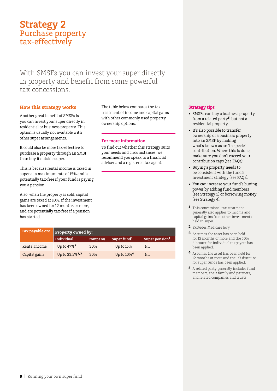## **Strategy 2** Purchase property tax-effectively

With SMSFs you can invest your super directly in property and benefit from some powerful tax concessions.

## **How this strategy works**

Another great benefit of SMSFs is you can invest your super directly in residential or business property. This option is usually not available with other super arrangements.

It could also be more tax-effective to purchase a property through an SMSF than buy it outside super.

This is because rental income is taxed in super at a maximum rate of 15% and is potentially tax-free if your fund is paying you a pension.

Also, when the property is sold, capital gains are taxed at 10%, if the investment has been owned for 12 months or more, and are potentially tax-free if a pension has started.

The table below compares the tax treatment of income and capital gains with other commonly used property ownership options.

### **For more information**

To find out whether this strategy suits your needs and circumstances, we recommend you speak to a financial adviser and a registered tax agent.

| Tax payable on: | <b>Property owned by:</b>  |         |                         |                            |
|-----------------|----------------------------|---------|-------------------------|----------------------------|
|                 | Individual                 | Company | Super fund <sup>1</sup> | Super pension <sup>1</sup> |
| Rental income   | Up to 47% <sup>2</sup>     | 30%     | Up to $15%$             | Nil                        |
| Capital gains   | Up to 23.5% <sup>2,3</sup> | 30%     | Up to 10% <sup>4</sup>  | Nil                        |

#### **Strategy tips**

- SMSFs can buy a business property from a related party**<sup>5</sup>**, but not a residential property.
- It's also possible to transfer ownership of a business property into an SMSF by making what's known as an 'in specie' contribution. Where this is done, make sure you don't exceed your contribution caps (see FAQs).
- • Buying a property needs to be consistent with the fund's investment strategy (see FAQs).
- • You can increase your fund's buying power by adding fund members (see Strategy 3) or borrowing money (see Strategy 4).
- **1** This concessional tax treatment generally also applies to income and capital gains from other investments held in super.
- **2** Excludes Medicare levy.
- **3** Assumes the asset has been held for 12 months or more and the 50% discount for individual taxpayers has been applied.
- **4** Assumes the asset has been held for 12 months or more and the 1/3 discount for super funds has been applied.
- **5** A related party generally includes fund members, their family and partners, and related companies and trusts.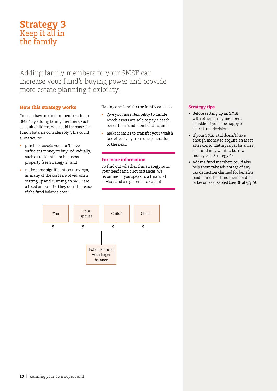## **Strategy 3** Keep it all in the family

## Adding family members to your SMSF can increase your fund's buying power and provide more estate planning flexibility.

## **How this strategy works**

You can have up to four members in an SMSF. By adding family members, such as adult children, you could increase the fund's balance considerably. This could allow you to:

- • purchase assets you don't have sufficient money to buy individually, such as residential or business property (see Strategy 2), and
- • make some significant cost savings, as many of the costs involved when setting up and running an SMSF are a fixed amount (ie they don't increase if the fund balance does).

Having one fund for the family can also:

- give you more flexibility to decide which assets are sold to pay a death benefit if a fund member dies, and
- make it easier to transfer your wealth tax-effectively from one generation to the next.

## **For more information**

To find out whether this strategy suits your needs and circumstances, we recommend you speak to a financial adviser and a registered tax agent.



- Before setting up an SMSF with other family members, consider if you'd be happy to share fund decisions.
- • If your SMSF still doesn't have enough money to acquire an asset after consolidating super balances, the fund may want to borrow money (see Strategy 4).
- • Adding fund members could also help them take advantage of any tax deduction claimed for benefits paid if another fund member dies or becomes disabled (see Strategy 5).

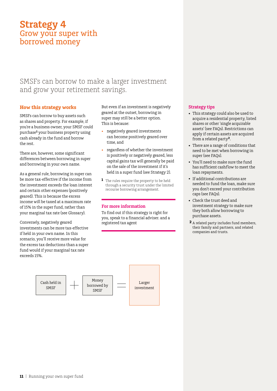## **Strategy 4** Grow your super with borrowed money

## SMSFs can borrow to make a larger investment and grow your retirement savings.

## **How this strategy works**

SMSFs can borrow to buy assets such as shares and property. For example, if you're a business owner, your SMSF could purchase**<sup>1</sup>** your business property using cash already in the fund and borrow the rest.

There are, however, some significant differences between borrowing in super and borrowing in your own name.

As a general rule, borrowing in super can be more tax-effective if the income from the investment exceeds the loan interest and certain other expenses (positively geared). This is because the excess income will be taxed at a maximum rate of 15% in the super fund, rather than your marginal tax rate (see Glossary).

Conversely, negatively geared investments can be more tax-effective if held in your own name. In this scenario, you'll receive more value for the excess tax deductions than a super fund would if your marginal tax rate exceeds 15%.

But even if an investment is negatively geared at the outset, borrowing in super may still be a better option. This is because:

- negatively geared investments can become positively geared over time, and
- regardless of whether the investment is positively or negatively geared, less capital gains tax will generally be paid on the sale of the investment if it's held in a super fund (see Strategy 2).
- **1** The rules require the property to be held through a security trust under the limited recourse borrowing arrangement.

## **For more information**

To find out if this strategy is right for you, speak to a financial adviser. and a registered tax agent



## **Strategy tips**

- This strategy could also be used to acquire a residential property, listed shares or other 'single acquirable assets' (see FAQs). Restrictions can apply if certain assets are acquired from a related party**<sup>2</sup>**.
- There are a range of conditions that need to be met when borrowing in super (see FAQs).
- • You'll need to make sure the fund has sufficient cashflow to meet the loan repayments.
- If additional contributions are needed to fund the loan, make sure you don't exceed your contribution caps (see FAQs).
- • Check the trust deed and investment strategy to make sure they both allow borrowing to purchase assets.
- **2** A related party includes fund members, their family and partners, and related companies and trusts.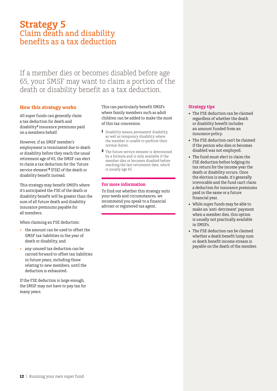## **Strategy 5** Claim death and disability benefits as a tax deduction

If a member dies or becomes disabled before age 65, your SMSF may want to claim a portion of the death or disability benefit as a tax deduction.

## **How this strategy works**

All super funds can generally claim a tax deduction for death and disability**<sup>1</sup>** insurance premiums paid on a members behalf.

However, if an SMSF member's employment is terminated due to death or disability before they reach the usual retirement age of 65, the SMSF can elect to claim a tax deduction for the 'future service element'**2** (FSE) of the death or disability benefit instead.

This strategy may benefit SMSFs where it's anticipated the FSE of the death or disability benefit will be greater than the sum of all future death and disability insurance premiums payable for all members.

When claiming an FSE deduction:

- • the amount can be used to offset the SMSF tax liabilities in the year of death or disability, and
- any unused tax deduction can be carried forward to offset tax liabilities in future years, including those relating to new members, until the deduction is exhausted.

If the FSE deduction is large enough, the SMSF may not have to pay tax for many years.

This can particularly benefit SMSFs where family members such as adult children can be added to make the most of this tax concession.

- **1** Disability means permanent disability, as well as temporary disability where the member is unable to perform their normal duties.
- **2** The future service element is determined by a formula and is only available if the member dies or becomes disabled before reaching the last retirement date, which is usually age 65.

#### **For more information**

To find out whether this strategy suits your needs and circumstances, we recommend you speak to a financial adviser or registered tax agent.

#### **Strategy tips**

- The FSE deduction can be claimed regardless of whether the death or disability benefit includes an amount funded from an insurance policy.
- The FSE deduction can't be claimed if the person who dies or becomes disabled was not employed.
- • The fund must elect to claim the FSE deduction before lodging its tax return for the income year the death or disability occurs. Once the election is made, it's generally irrevocable and the fund can't claim a deduction for insurance premiums paid in the same or a future financial year.
- • While super funds may be able to make an 'anti-detriment' payment when a member dies, this option is usually not practically available in SMSFs.
- The FSE deduction can be claimed whether a death benefit lump sum or death benefit income stream is payable on the death of the member.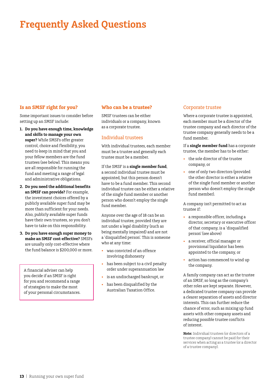## **Is an SMSF right for you?**

Some important issues to consider before setting up an SMSF include:

- **1. Do you have enough time, knowledge and skills to manage your own super?** While SMSFs offer greater control, choice and flexibility, you need to keep in mind that you and your fellow members are the fund trustees (see below). This means you are all responsible for running the fund and meeting a range of legal and administrative obligations.
- **2. Do you need the additional benefits an SMSF can provide?** For example, the investment choices offered by a publicly available super fund may be more than sufficient for your needs. Also, publicly available super funds have their own trustees, so you don't have to take on this responsibility.
- **3. Do you have enough super money to make an SMSF cost-effective?** SMSFs are usually only cost-effective where the fund balance is \$200,000 or more.

A financial adviser can help you decide if an SMSF is right for you and recommend a range of strategies to make the most of your personal circumstances.

### **Who can be a trustee?**

SMSF trustees can be either individuals or a company, known as a corporate trustee.

## Individual trustees

With individual trustees, each member must be a trustee and generally each trustee must be a member.

If the SMSF is a **single member fund**, a second individual trustee must be appointed, but this person doesn't have to be a fund member. This second individual trustee can be either a relative of the single fund member or another person who doesn't employ the single fund member.

Anyone over the age of 18 can be an individual trustee, provided they are not under a legal disability (such as being mentally impaired) and are not a 'disqualified person'. This is someone who at any time:

- was convicted of an offence involving dishonesty
- has been subject to a civil penalty order under superannuation law
- • is an undischarged bankrupt, or
- has been disqualified by the Australian Taxation Office.

## Corporate trustee

Where a corporate trustee is appointed, each member must be a director of the trustee company and each director of the trustee company generally needs to be a fund member.

If a **single member fund** has a corporate trustee, the member has to be either:

- • the sole director of the trustee company, or
- one of only two directors (provided the other director is either a relative of the single fund member or another person who doesn't employ the single fund member).

A company isn't permitted to act as trustee if:

- • a responsible officer, including a director, secretary or executive officer of that company, is a 'disqualified person' (see above)
- a receiver, official manager or provisional liquidator has been appointed to the company, or
- action has commenced to wind up the company.

A family company can act as the trustee of an SMSF, so long as the company's other roles are kept separate. However, a dedicated trustee company can provide a clearer separation of assets and director interests. This can further reduce the chance of error, such as mixing up fund assets with other company assets and reducing possible trustee conflicts of interest.

**Note:** Individual trustees (or directors of a trustee company) cannot be paid for their services when acting as a trustee (or a director of a trustee company).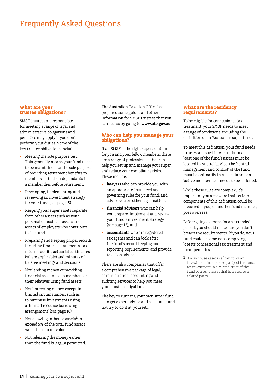#### **What are your trustee obligations?**

SMSF trustees are responsible for meeting a range of legal and administrative obligations and penalties may apply if you don't perform your duties. Some of the key trustee obligations include:

- Meeting the sole purpose test. This generally means your fund needs to be maintained for the sole purpose of providing retirement benefits to members, or to their dependants if a member dies before retirement.
- Developing, implementing and reviewing an investment strategy for your fund (see page 15).
- • Keeping your super assets separate from other assets such as your personal or business assets and assets of employers who contribute to the fund.
- • Preparing and keeping proper records, including financial statements, tax returns, audits, actuarial certificates (where applicable) and minutes of trustee meetings and decisions.
- Not lending money or providing financial assistance to members or their relatives using fund assets.
- Not borrowing money except in limited circumstances, such as to purchase investments using a 'limited recourse borrowing arrangement' (see page 16).
- • Not allowing in-house assets**<sup>1</sup>** to exceed 5% of the total fund assets valued at market value.
- Not releasing the money earlier than the fund is legally permitted.

The Australian Taxation Office has prepared some guides and other information for SMSF trustees that you can access by going to **www.ato.gov.au**

#### **Who can help you manage your obligations?**

If an SMSF is the right super solution for you and your fellow members, there are a range of professionals that can help you set up and manage your super, and reduce your compliance risks. These include:

- lawyers who can provide you with an appropriate trust deed and governing rules for your fund, and advise you on other legal matters
- financial advisers who can help you prepare, implement and review your fund's investment strategy (see page 15), and
- • **accountants** who are registered tax agents and can look after the fund's record keeping and reporting requirements, and provide taxation advice.

There are also companies that offer a comprehensive package of legal, administration, accounting and auditing services to help you meet your trustee obligations.

The key to running your own super fund is to get expert advice and assistance and not try to do it all yourself.

#### **What are the residency requirements?**

To be eligible for concessional tax treatment, your SMSF needs to meet a range of conditions, including the definition of an 'Australian super fund'.

To meet this definition, your fund needs to be established in Australia, or at least one of the fund's assets must be located in Australia. Also, the 'central management and control' of the fund must be ordinarily in Australia and an 'active member' test needs to be satisfied.

While these rules are complex, it's important you are aware that certain components of this definition could be breached if you, or another fund member, goes overseas.

Before going overseas for an extended period, you should make sure you don't breach the requirements. If you do, your fund could become non-complying, lose its concessional tax treatment and incur penalties.

**1** An in-house asset is a loan to, or an investment in, a related party of the fund, an investment in a related trust of the fund or a fund asset that is leased to a related party.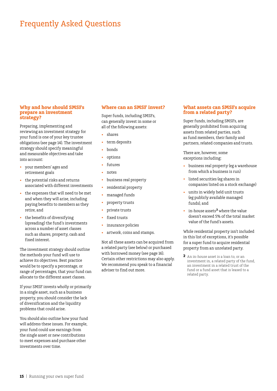#### **Why and how should SMSFs prepare an investment strategy?**

Preparing, implementing and reviewing an investment strategy for your fund is one of your key trustee obligations (see page 14). The investment strategy should specify meaningful and measurable objectives and take into account:

- • your members' ages and retirement goals
- • the potential risks and returns associated with different investments
- the expenses that will need to be met and when they will arise, including paying benefits to members as they retire, and
- the benefits of diversifying (spreading) the fund's investments across a number of asset classes such as shares, property, cash and fixed interest.

The investment strategy should outline the methods your fund will use to achieve its objectives. Best practice would be to specify a percentage, or range of percentages, that your fund can allocate to the different asset classes.

If your SMSF invests wholly or primarily in a single asset, such as a business property, you should consider the lack of diversification and the liquidity problems that could arise.

You should also outline how your fund will address these issues. For example, your fund could use earnings from the single asset or new contributions to meet expenses and purchase other investments over time.

#### **Where can an SMSF invest?**

Super funds, including SMSFs, can generally invest in some or all of the following assets:

- shares
- term deposits
- **bonds**
- options
- futures
- notes
- • business real property
- residential property
- managed funds
- property trusts
- private trusts
- fixed trusts
- insurance policies
- • artwork, coins and stamps.

Not all these assets can be acquired from a related party (see below) or purchased with borrowed money (see page 16). Certain other restrictions may also apply. We recommend you speak to a financial adviser to find out more.

#### **What assets can SMSFs acquire from a related party?**

Super funds, including SMSFs, are generally prohibited from acquiring assets from related parties, such as fund members, their family and partners, related companies and trusts.

There are, however, some exceptions including:

- business real property (eg a warehouse from which a business is run)
- listed securities (eg shares in companies listed on a stock exchange)
- units in widely held unit trusts (eg publicly available managed funds), and
- • in-house assets**2** where the value doesn't exceed 5% of the total market value of the fund's assets.

While residential property isn't included in this list of exceptions, it's possible for a super fund to acquire residential property from an unrelated party.

**2** An in-house asset is a loan to, or an investment in, a related party of the fund, an investment in a related trust of the fund or a fund asset that is leased to a related party.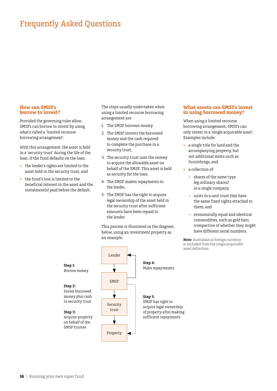#### **How can SMSFs borrow to invest?**

Provided the governing rules allow, SMSFs can borrow to invest by using what's called a 'limited recourse borrowing arrangement'.

With this arrangement, the asset is held in a 'security trust' during the life of the loan. If the fund defaults on the loan:

- • the lender's rights are limited to the asset held in the security trust, and
- the fund's loss is limited to the beneficial interest in the asset and the instalment(s) paid before the default.

The steps usually undertaken when using a limited recourse borrowing arrangement are:

- 1. The SMSF borrows money.
- 2. The SMSF invests the borrowed money and the cash required to complete the purchase in a security trust.
- 3. The security trust uses the money to acquire the allowable asset on behalf of the SMSF. This asset is held as security for the loan.
- 4. The SMSF makes repayments to the lender.
- 5. The SMSF has the right to acquire legal ownership of the asset held in the security trust after sufficient amounts have been repaid to the lender.

This process is illustrated in the diagram below, using an investment property as an example:



### **What assets can SMSFs invest in using borrowed money?**

When using a limited recourse borrowing arrangement, SMSFs can only invest in a 'single acquirable asset'. Examples include:

- a single title for land and the accompanying property, but not additional items such as furnishings, and
- a collection of:
	- shares of the same type (eg ordinary shares) in a single company
	- units in a unit trust that have the same fixed rights attached to them, and
	- economically equal and identical commodities, such as gold bars, irrespective of whether they might have different serial numbers.

**Note:** Australian or foreign currency is excluded from the single acquirable asset definition.

**Step 1:**  Borrow money

#### **Step 2:**  Invest borrowed money plus cash

**Step 3:**  Acquire property on behalf of the SMSF trustee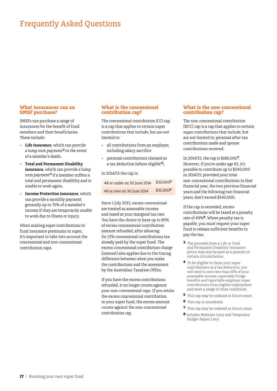#### **What insurances can an SMSF purchase?**

SMSFs can purchase a range of insurances for the benefit of fund members and their beneficiaries. These include:

- **Life insurance**, which can provide a lump sum payment**<sup>3</sup>** in the event of a member's death.
- **Total and Permanent Disability insurance**, which can provide a lump sum payment**3** if a member suffers a total and permanent disability and is unable to work again.
- **Income Protection insurance**, which can provide a monthly payment generally up to 75% of a member's income if they are temporarily unable to work due to illness or injury.

When making super contributions to fund insurance premiums in super, it's important to take into account the concessional and non-concessional contribution caps.

### **What is the concessional contribution cap?**

The concessional contribution (CC) cap is a cap that applies to certain super contributions that include, but are not limited to:

- • all contributions from an employer, including salary sacrifice
- • personal contributions claimed as a tax deduction (where eligible**4**).

In 2014/15 the cap is:

| 48 or under on 30 June 2014 | \$30,0005   |
|-----------------------------|-------------|
| 49 or over on 30 June 2014  | $$35.000^6$ |

Since 1 July 2013, excess concessional are treated as assessable income and taxed at your marginal tax rate. You have the choice to have up to 85% of excess concessional contribution amount refunded, after allowing for 15% concessional contributions tax already paid by the super fund. The excess concessional contribution charge (interest) also applies due to the timing difference between when you make the contributions and the assessment by the Australian Taxation Office.

If you have the excess contributions refunded, it no longer counts against your non-concessional caps. If you retain the excess concessional contribution in your super fund, the excess amount counts against the non-concessional contribution cap.

#### **What is the non‑concessional contribution cap?**

The non-concessional contribution (NCC) cap is a cap that applies to certain super contributions that include, but are not limited to, personal after-tax contributions made and spouse contributions received.

In 2014/15, the cap is \$180,000**7**. However, if you're under age 65, it's possible to contribute up to \$540,000 in 2014/15, provided your total non-concessional contributions in that financial year, the two previous financial years and the following two financial years, don't exceed \$540,000.

If the cap is exceeded, excess contributions will be taxed at a penalty rate of 49%**8**. Where penalty tax is payable, you must request your super fund to release sufficient benefits to pay the tax.

- **3** The proceeds from a Life or Total and Permanent Disability insurance policy may also be paid as a pension in certain circumstances.
- **4** To be eligible to claim your super contributions as a tax deduction, you will need to earn less than 10% of your assessable income, reportable fringe benefits and reportable employer super contributions from eligible employment and meet a range of other conditions.
- **5** This cap may be indexed in future years.
- **6** This cap is unindexed.
- **7** This cap may be indexed in future years.
- **8** Includes Medicare Levy and Temporary Budget Repair Levy.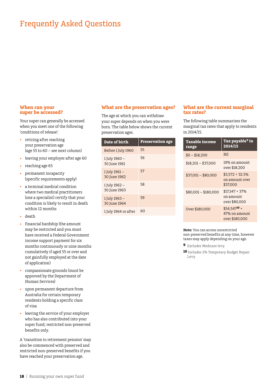#### **When can your super be accessed?**

Your super can generally be accessed when you meet one of the following 'conditions of release':

- • retiring after reaching your preservation age (age 55 to 60 – see next column)
- • leaving your employer after age 60
- reaching age 65
- permanent incapacity (specific requirements apply)
- a terminal medical condition where two medical practitioners (one a specialist) certify that your condition is likely to result in death within 12 months
- death
- financial hardship (the amount may be restricted and you must have received a Federal Government income support payment for six months continuously or nine months cumulatively if aged 55 or over and not gainfully employed at the date of application)
- compassionate grounds (must be approved by the Department of Human Services)
- upon permanent departure from Australia for certain temporary residents holding a specific class of visa
- leaving the service of your employer who has also contributed into your super fund; restricted non-preserved benefits only.

A 'transition to retirement pension' may also be commenced with preserved and restricted non-preserved benefits if you have reached your preservation age.

#### **What are the preservation ages?**

The age at which you can withdraw your super depends on when you were born. The table below shows the current preservation ages.

| Date of birth                 | <b>Preservation age</b> |
|-------------------------------|-------------------------|
| Before 1 July 1960            | 55                      |
| 1 July 1960 –<br>30 June 1961 | 56                      |
| 1 July 1961 -<br>30 June 1962 | 57                      |
| 1 July 1962 -<br>30 June 1963 | 58                      |
| 1 July 1963 –<br>30 June 1964 | 59                      |
| 1 July 1964 or after          | 60                      |

#### **What are the current marginal tax rates?**

The following table summarises the marginal tax rates that apply to residents in 2014/15.

| <b>Taxable income</b><br>range | Tax payable <sup>9</sup> in<br>2014/15                       |
|--------------------------------|--------------------------------------------------------------|
| $$0 - $18.200$                 | Nil                                                          |
| $$18,201 - $37,000$            | 19% on amount<br>over \$18.200                               |
| $$37,001 - $80,000$            | $$3,572 + 32.5\%$<br>on amount over<br>\$37,000              |
| \$80,001 - \$180,000           | $$17.547 + 37\%$<br>on amount<br>over \$80.000               |
| Over \$180,000                 | $$54.547$ <sup>10</sup> +<br>47% on amount<br>over \$180.000 |

**Note:** You can access unrestricted non-preserved benefits at any time, however taxes may apply depending on your age.

- **9** Excludes Medicare levy.
- **10** Includes 2% Temporary Budget Repair Levy.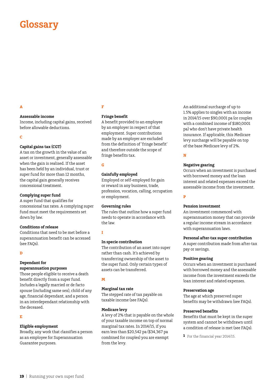# **Glossary**

## **A**

#### **Assessable income**

Income, including capital gains, received before allowable deductions.

#### **C**

#### **Capital gains tax (CGT)**

A tax on the growth in the value of an asset or investment, generally assessable when the gain is realised. If the asset has been held by an individual, trust or super fund for more than 12 months, the capital gain generally receives concessional treatment.

#### **Complying super fund**

A super fund that qualifies for concessional tax rates. A complying super fund must meet the requirements set down by law.

#### **Conditions of release**

Conditions that need to be met before a superannuation benefit can be accessed (see FAQs).

#### **D**

#### **Dependant for**

### **superannuation purposes**

Those people eligible to receive a death benefit directly from a super fund. Includes a legally married or de facto spouse (including same sex), child of any age, financial dependant, and a person in an interdependant relationship with the deceased.

#### **E**

#### **Eligible employment**

Broadly, any work that classifies a person as an employee for Superannuation Guarantee purposes.

#### **F**

### **Fringe benefit**

A benefit provided to an employee by an employer in respect of that employment. Super contributions made by an employer are excluded from the definition of 'fringe benefit' and therefore outside the scope of fringe benefits tax.

### **G**

#### **Gainfully employed**

Employed or self-employed for gain or reward in any business, trade, profession, vocation, calling, occupation or employment.

#### **Governing rules**

The rules that outline how a super fund needs to operate in accordance with the law.

#### **I**

#### **In specie contribution**

The contribution of an asset into super rather than cash. It's achieved by transferring ownership of the asset to the super fund. Only certain types of assets can be transferred.

#### **M**

#### **Marginal tax rate**

The stepped rate of tax payable on taxable income (see FAQs).

#### **Medicare levy**

A levy of 2% that is payable on the whole of your taxable income on top of normal marginal tax rates. In 2014/15, if you earn less than \$20,542 pa (\$34,367 pa combined for couples) you are exempt from the levy.

An additional surcharge of up to 1.5% applies to singles with an income in 2014/15 over \$90,0001 pa (or couples with a combined income of \$180,0001 pa) who don't have private health insurance. If applicable, this Medicare levy surcharge will be payable on top of the base Medicare levy of 2%.

#### **N**

#### **Negative gearing**

Occurs when an investment is purchased with borrowed money and the loan interest and related expenses exceed the assessable income from the investment.

#### **P**

#### **Pension investment**

An investment commenced with superannuation money that can provide a regular income stream in accordance with superannuation laws.

#### **Personal after-tax super contribution**

A super contribution made from after-tax pay or savings.

#### **Positive gearing**

Occurs when an investment is purchased with borrowed money and the assessable income from the investment exceeds the loan interest and related expenses.

#### **Preservation age**

The age at which preserved super benefits may be withdrawn (see FAQs).

#### **Preserved benefits**

Benefits that must be kept in the super system and cannot be withdrawn until a condition of release is met (see FAQs).

**1** For the financial year 2014/15.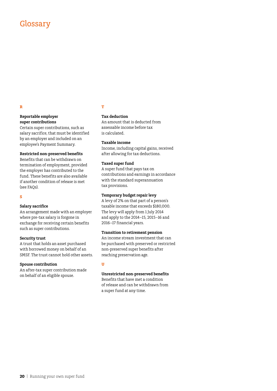## Glossary

### **R**

#### **Reportable employer super contributions**

Certain super contributions, such as salary sacrifice, that must be identified by an employer and included on an employee's Payment Summary.

#### **Restricted non-preserved benefits**

Benefits that can be withdrawn on termination of employment, provided the employer has contributed to the fund. These benefits are also available if another condition of release is met (see FAQs).

#### **S**

#### **Salary sacrifice**

An arrangement made with an employer where pre-tax salary is forgone in exchange for receiving certain benefits such as super contributions.

#### **Security trust**

A trust that holds an asset purchased with borrowed money on behalf of an SMSF. The trust cannot hold other assets.

#### **Spouse contribution**

An after-tax super contribution made on behalf of an eligible spouse.

#### **T**

## **Tax deduction**

An amount that is deducted from assessable income before tax is calculated.

## **Taxable income**

Income, including capital gains, received after allowing for tax deductions.

#### **Taxed super fund**

A super fund that pays tax on contributions and earnings in accordance with the standard superannuation tax provisions.

#### **Temporary budget repair levy**

A levy of 2% on that part of a person's taxable income that exceeds \$180,000. The levy will apply from 1 July 2014 and apply to the 2014–15, 2015–16 and 2016–17 financial years.

#### **Transition to retirement pension**

An income stream investment that can be purchased with preserved or restricted non-preserved super benefits after reaching preservation age.

#### **U**

### **Unrestricted non-preserved benefits**

Benefits that have met a condition of release and can be withdrawn from a super fund at any time.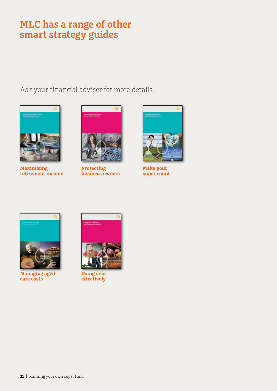# **MLC has a range of other smart strategy guides**

Ask your financial adviser for more details.



**Maximising retirement income**



**Protecting business owners**



**Make your super count**



**Managing aged care costs**



**Using debt effectively**